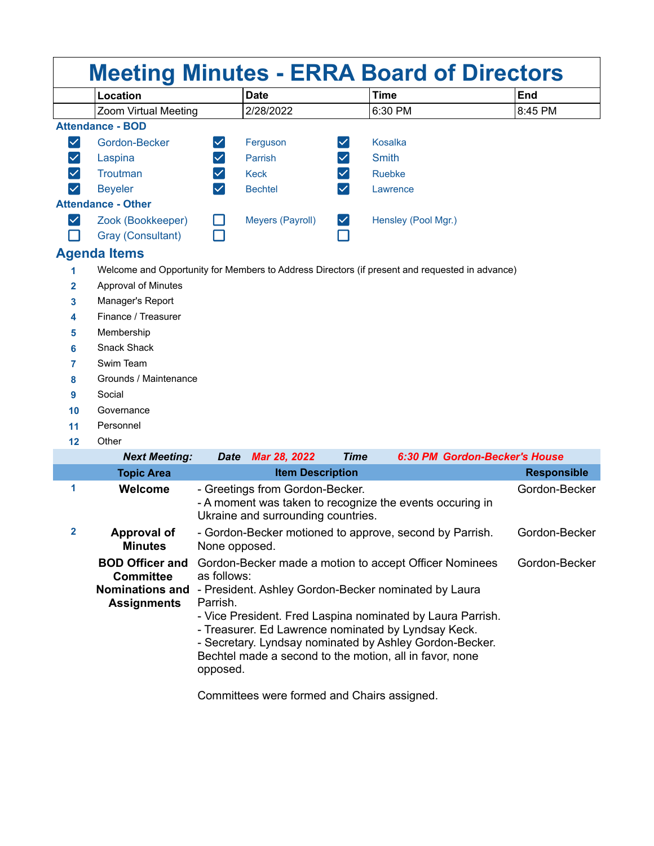| <b>Meeting Minutes - ERRA Board of Directors</b> |                           |                      |                         |                      |                                                                                                |                    |
|--------------------------------------------------|---------------------------|----------------------|-------------------------|----------------------|------------------------------------------------------------------------------------------------|--------------------|
|                                                  | Location                  |                      | <b>Date</b>             |                      | <b>Time</b>                                                                                    | <b>End</b>         |
|                                                  | Zoom Virtual Meeting      |                      | 2/28/2022               |                      | 6:30 PM                                                                                        | 8:45 PM            |
|                                                  | <b>Attendance - BOD</b>   |                      |                         |                      |                                                                                                |                    |
| $\blacktriangledown$                             | Gordon-Becker             | $\blacktriangledown$ | Ferguson                |                      | <b>Kosalka</b>                                                                                 |                    |
| $\checkmark$                                     | Laspina                   | $\checkmark$         | Parrish                 | $\blacktriangledown$ | <b>Smith</b>                                                                                   |                    |
|                                                  | Troutman                  | $\checkmark$         | <b>Keck</b>             |                      | Ruebke                                                                                         |                    |
|                                                  | <b>Beyeler</b>            | $\checkmark$         | <b>Bechtel</b>          | $\blacktriangledown$ | Lawrence                                                                                       |                    |
|                                                  | <b>Attendance - Other</b> |                      |                         |                      |                                                                                                |                    |
| $\checkmark$                                     | Zook (Bookkeeper)         |                      | Meyers (Payroll)        | $ \bm{\vee} $        | Hensley (Pool Mgr.)                                                                            |                    |
|                                                  | Gray (Consultant)         |                      |                         |                      |                                                                                                |                    |
| <b>Agenda Items</b>                              |                           |                      |                         |                      |                                                                                                |                    |
| 1                                                |                           |                      |                         |                      | Welcome and Opportunity for Members to Address Directors (if present and requested in advance) |                    |
| 2                                                | Approval of Minutes       |                      |                         |                      |                                                                                                |                    |
| 3                                                | Manager's Report          |                      |                         |                      |                                                                                                |                    |
| 4                                                | Finance / Treasurer       |                      |                         |                      |                                                                                                |                    |
| 5                                                | Membership                |                      |                         |                      |                                                                                                |                    |
| 6                                                | <b>Snack Shack</b>        |                      |                         |                      |                                                                                                |                    |
| 7                                                | Swim Team                 |                      |                         |                      |                                                                                                |                    |
| 8                                                | Grounds / Maintenance     |                      |                         |                      |                                                                                                |                    |
| 9                                                | Social                    |                      |                         |                      |                                                                                                |                    |
| 10                                               | Governance                |                      |                         |                      |                                                                                                |                    |
| 11                                               | Personnel                 |                      |                         |                      |                                                                                                |                    |
| 12                                               | Other                     |                      |                         |                      |                                                                                                |                    |
|                                                  | <b>Next Meeting:</b>      | <b>Date</b>          | Mar 28, 2022            | <b>Time</b>          | 6:30 PM Gordon-Becker's House                                                                  |                    |
|                                                  | <b>Topic Area</b>         |                      | <b>Item Description</b> |                      |                                                                                                | <b>Responsible</b> |

|              | <b>Topic Area</b>                                                                          | <b>Item Description</b>                                                                                                                                                                                                                                                                                                                                                                          | <b>Responsible</b> |
|--------------|--------------------------------------------------------------------------------------------|--------------------------------------------------------------------------------------------------------------------------------------------------------------------------------------------------------------------------------------------------------------------------------------------------------------------------------------------------------------------------------------------------|--------------------|
| 1            | Welcome                                                                                    | - Greetings from Gordon-Becker.<br>- A moment was taken to recognize the events occuring in<br>Ukraine and surrounding countries.                                                                                                                                                                                                                                                                | Gordon-Becker      |
| $\mathbf{2}$ | Approval of<br><b>Minutes</b>                                                              | - Gordon-Becker motioned to approve, second by Parrish.<br>None opposed.                                                                                                                                                                                                                                                                                                                         | Gordon-Becker      |
|              | <b>BOD Officer and</b><br><b>Committee</b><br><b>Nominations and</b><br><b>Assignments</b> | Gordon-Becker made a motion to accept Officer Nominees<br>as follows:<br>- President. Ashley Gordon-Becker nominated by Laura<br>Parrish.<br>- Vice President. Fred Laspina nominated by Laura Parrish.<br>- Treasurer. Ed Lawrence nominated by Lyndsay Keck.<br>- Secretary. Lyndsay nominated by Ashley Gordon-Becker.<br>Bechtel made a second to the motion, all in favor, none<br>opposed. | Gordon-Becker      |

Committees were formed and Chairs assigned.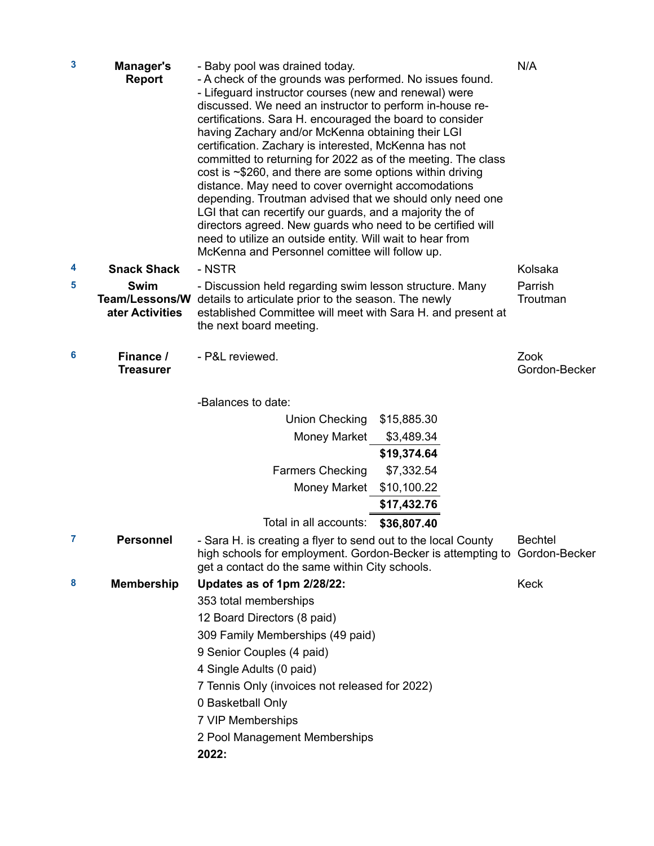| $\mathbf{3}$ | <b>Manager's</b><br><b>Report</b> | - Baby pool was drained today.<br>- A check of the grounds was performed. No issues found.<br>- Lifeguard instructor courses (new and renewal) were<br>discussed. We need an instructor to perform in-house re-<br>certifications. Sara H. encouraged the board to consider<br>having Zachary and/or McKenna obtaining their LGI<br>certification. Zachary is interested, McKenna has not<br>committed to returning for 2022 as of the meeting. The class<br>$cost$ is $\sim$ \$260, and there are some options within driving<br>distance. May need to cover overnight accomodations<br>depending. Troutman advised that we should only need one<br>LGI that can recertify our guards, and a majority the of<br>directors agreed. New guards who need to be certified will<br>need to utilize an outside entity. Will wait to hear from<br>McKenna and Personnel comittee will follow up. | N/A                   |
|--------------|-----------------------------------|--------------------------------------------------------------------------------------------------------------------------------------------------------------------------------------------------------------------------------------------------------------------------------------------------------------------------------------------------------------------------------------------------------------------------------------------------------------------------------------------------------------------------------------------------------------------------------------------------------------------------------------------------------------------------------------------------------------------------------------------------------------------------------------------------------------------------------------------------------------------------------------------|-----------------------|
| 4            | <b>Snack Shack</b>                | - NSTR                                                                                                                                                                                                                                                                                                                                                                                                                                                                                                                                                                                                                                                                                                                                                                                                                                                                                     | Kolsaka               |
| 5            | <b>Swim</b><br>ater Activities    | - Discussion held regarding swim lesson structure. Many<br>Team/Lessons/W details to articulate prior to the season. The newly<br>established Committee will meet with Sara H. and present at<br>the next board meeting.                                                                                                                                                                                                                                                                                                                                                                                                                                                                                                                                                                                                                                                                   | Parrish<br>Troutman   |
| 6            | Finance /<br><b>Treasurer</b>     | - P&L reviewed.                                                                                                                                                                                                                                                                                                                                                                                                                                                                                                                                                                                                                                                                                                                                                                                                                                                                            | Zook<br>Gordon-Becker |
|              |                                   | -Balances to date:                                                                                                                                                                                                                                                                                                                                                                                                                                                                                                                                                                                                                                                                                                                                                                                                                                                                         |                       |
|              |                                   | <b>Union Checking</b><br>\$15,885.30                                                                                                                                                                                                                                                                                                                                                                                                                                                                                                                                                                                                                                                                                                                                                                                                                                                       |                       |
|              |                                   | <b>Money Market</b><br>\$3,489.34                                                                                                                                                                                                                                                                                                                                                                                                                                                                                                                                                                                                                                                                                                                                                                                                                                                          |                       |
|              |                                   | \$19,374.64                                                                                                                                                                                                                                                                                                                                                                                                                                                                                                                                                                                                                                                                                                                                                                                                                                                                                |                       |
|              |                                   | \$7,332.54<br><b>Farmers Checking</b>                                                                                                                                                                                                                                                                                                                                                                                                                                                                                                                                                                                                                                                                                                                                                                                                                                                      |                       |
|              |                                   | <b>Money Market</b><br>\$10,100.22                                                                                                                                                                                                                                                                                                                                                                                                                                                                                                                                                                                                                                                                                                                                                                                                                                                         |                       |
|              |                                   | \$17,432.76                                                                                                                                                                                                                                                                                                                                                                                                                                                                                                                                                                                                                                                                                                                                                                                                                                                                                |                       |
|              |                                   | Total in all accounts:<br>\$36,807.40                                                                                                                                                                                                                                                                                                                                                                                                                                                                                                                                                                                                                                                                                                                                                                                                                                                      |                       |
|              | <b>Personnel</b>                  | - Sara H. is creating a flyer to send out to the local County<br>high schools for employment. Gordon-Becker is attempting to Gordon-Becker<br>get a contact do the same within City schools.                                                                                                                                                                                                                                                                                                                                                                                                                                                                                                                                                                                                                                                                                               | <b>Bechtel</b>        |
| 8            | <b>Membership</b>                 | Updates as of 1pm 2/28/22:                                                                                                                                                                                                                                                                                                                                                                                                                                                                                                                                                                                                                                                                                                                                                                                                                                                                 | <b>Keck</b>           |
|              |                                   | 353 total memberships                                                                                                                                                                                                                                                                                                                                                                                                                                                                                                                                                                                                                                                                                                                                                                                                                                                                      |                       |
|              |                                   | 12 Board Directors (8 paid)                                                                                                                                                                                                                                                                                                                                                                                                                                                                                                                                                                                                                                                                                                                                                                                                                                                                |                       |
|              |                                   | 309 Family Memberships (49 paid)                                                                                                                                                                                                                                                                                                                                                                                                                                                                                                                                                                                                                                                                                                                                                                                                                                                           |                       |
|              |                                   | 9 Senior Couples (4 paid)                                                                                                                                                                                                                                                                                                                                                                                                                                                                                                                                                                                                                                                                                                                                                                                                                                                                  |                       |
|              |                                   | 4 Single Adults (0 paid)                                                                                                                                                                                                                                                                                                                                                                                                                                                                                                                                                                                                                                                                                                                                                                                                                                                                   |                       |
|              |                                   | 7 Tennis Only (invoices not released for 2022)                                                                                                                                                                                                                                                                                                                                                                                                                                                                                                                                                                                                                                                                                                                                                                                                                                             |                       |
|              |                                   | 0 Basketball Only                                                                                                                                                                                                                                                                                                                                                                                                                                                                                                                                                                                                                                                                                                                                                                                                                                                                          |                       |
|              |                                   | 7 VIP Memberships                                                                                                                                                                                                                                                                                                                                                                                                                                                                                                                                                                                                                                                                                                                                                                                                                                                                          |                       |
|              |                                   | 2 Pool Management Memberships                                                                                                                                                                                                                                                                                                                                                                                                                                                                                                                                                                                                                                                                                                                                                                                                                                                              |                       |
|              |                                   | 2022:                                                                                                                                                                                                                                                                                                                                                                                                                                                                                                                                                                                                                                                                                                                                                                                                                                                                                      |                       |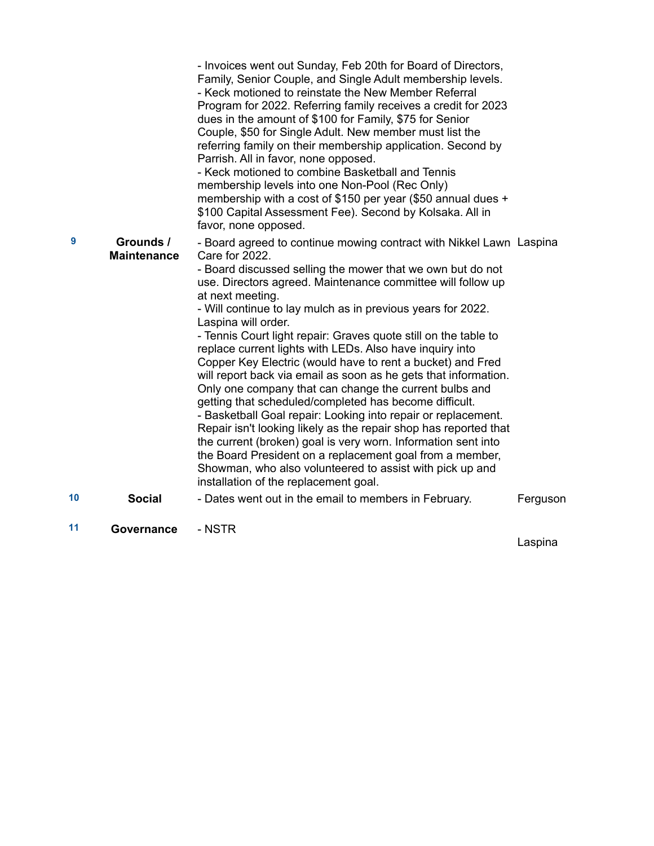|    |                                 | - Invoices went out Sunday, Feb 20th for Board of Directors,<br>Family, Senior Couple, and Single Adult membership levels.<br>- Keck motioned to reinstate the New Member Referral<br>Program for 2022. Referring family receives a credit for 2023<br>dues in the amount of \$100 for Family, \$75 for Senior<br>Couple, \$50 for Single Adult. New member must list the<br>referring family on their membership application. Second by<br>Parrish. All in favor, none opposed.<br>- Keck motioned to combine Basketball and Tennis<br>membership levels into one Non-Pool (Rec Only)<br>membership with a cost of \$150 per year (\$50 annual dues +<br>\$100 Capital Assessment Fee). Second by Kolsaka. All in<br>favor, none opposed.                                                                                                                                                                                                                                                                                                                                              |          |
|----|---------------------------------|-----------------------------------------------------------------------------------------------------------------------------------------------------------------------------------------------------------------------------------------------------------------------------------------------------------------------------------------------------------------------------------------------------------------------------------------------------------------------------------------------------------------------------------------------------------------------------------------------------------------------------------------------------------------------------------------------------------------------------------------------------------------------------------------------------------------------------------------------------------------------------------------------------------------------------------------------------------------------------------------------------------------------------------------------------------------------------------------|----------|
| 9  | Grounds /<br><b>Maintenance</b> | - Board agreed to continue mowing contract with Nikkel Lawn Laspina<br>Care for 2022.<br>- Board discussed selling the mower that we own but do not<br>use. Directors agreed. Maintenance committee will follow up<br>at next meeting.<br>- Will continue to lay mulch as in previous years for 2022.<br>Laspina will order.<br>- Tennis Court light repair: Graves quote still on the table to<br>replace current lights with LEDs. Also have inquiry into<br>Copper Key Electric (would have to rent a bucket) and Fred<br>will report back via email as soon as he gets that information.<br>Only one company that can change the current bulbs and<br>getting that scheduled/completed has become difficult.<br>- Basketball Goal repair: Looking into repair or replacement.<br>Repair isn't looking likely as the repair shop has reported that<br>the current (broken) goal is very worn. Information sent into<br>the Board President on a replacement goal from a member,<br>Showman, who also volunteered to assist with pick up and<br>installation of the replacement goal. |          |
| 10 | <b>Social</b>                   | - Dates went out in the email to members in February.                                                                                                                                                                                                                                                                                                                                                                                                                                                                                                                                                                                                                                                                                                                                                                                                                                                                                                                                                                                                                                   | Ferguson |
| 11 | Governance                      | - NSTR                                                                                                                                                                                                                                                                                                                                                                                                                                                                                                                                                                                                                                                                                                                                                                                                                                                                                                                                                                                                                                                                                  |          |

Laspina